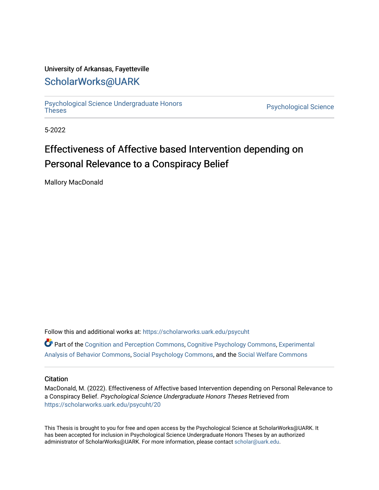### University of Arkansas, Fayetteville

## [ScholarWorks@UARK](https://scholarworks.uark.edu/)

[Psychological Science Undergraduate Honors](https://scholarworks.uark.edu/psycuht) 

Psychological Science

5-2022

# Effectiveness of Affective based Intervention depending on Personal Relevance to a Conspiracy Belief

Mallory MacDonald

Follow this and additional works at: [https://scholarworks.uark.edu/psycuht](https://scholarworks.uark.edu/psycuht?utm_source=scholarworks.uark.edu%2Fpsycuht%2F20&utm_medium=PDF&utm_campaign=PDFCoverPages)

Part of the [Cognition and Perception Commons,](http://network.bepress.com/hgg/discipline/407?utm_source=scholarworks.uark.edu%2Fpsycuht%2F20&utm_medium=PDF&utm_campaign=PDFCoverPages) [Cognitive Psychology Commons](http://network.bepress.com/hgg/discipline/408?utm_source=scholarworks.uark.edu%2Fpsycuht%2F20&utm_medium=PDF&utm_campaign=PDFCoverPages), [Experimental](http://network.bepress.com/hgg/discipline/1236?utm_source=scholarworks.uark.edu%2Fpsycuht%2F20&utm_medium=PDF&utm_campaign=PDFCoverPages)  [Analysis of Behavior Commons,](http://network.bepress.com/hgg/discipline/1236?utm_source=scholarworks.uark.edu%2Fpsycuht%2F20&utm_medium=PDF&utm_campaign=PDFCoverPages) [Social Psychology Commons,](http://network.bepress.com/hgg/discipline/414?utm_source=scholarworks.uark.edu%2Fpsycuht%2F20&utm_medium=PDF&utm_campaign=PDFCoverPages) and the [Social Welfare Commons](http://network.bepress.com/hgg/discipline/401?utm_source=scholarworks.uark.edu%2Fpsycuht%2F20&utm_medium=PDF&utm_campaign=PDFCoverPages) 

#### **Citation**

MacDonald, M. (2022). Effectiveness of Affective based Intervention depending on Personal Relevance to a Conspiracy Belief. Psychological Science Undergraduate Honors Theses Retrieved from [https://scholarworks.uark.edu/psycuht/20](https://scholarworks.uark.edu/psycuht/20?utm_source=scholarworks.uark.edu%2Fpsycuht%2F20&utm_medium=PDF&utm_campaign=PDFCoverPages) 

This Thesis is brought to you for free and open access by the Psychological Science at ScholarWorks@UARK. It has been accepted for inclusion in Psychological Science Undergraduate Honors Theses by an authorized administrator of ScholarWorks@UARK. For more information, please contact [scholar@uark.edu](mailto:scholar@uark.edu).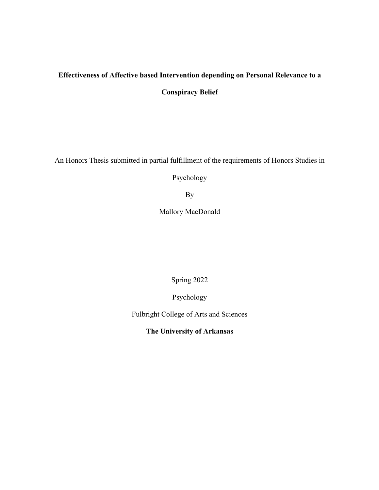# **Effectiveness of Affective based Intervention depending on Personal Relevance to a**

**Conspiracy Belief**

An Honors Thesis submitted in partial fulfillment of the requirements of Honors Studies in

Psychology

By

Mallory MacDonald

Spring 2022

Psychology

Fulbright College of Arts and Sciences

**The University of Arkansas**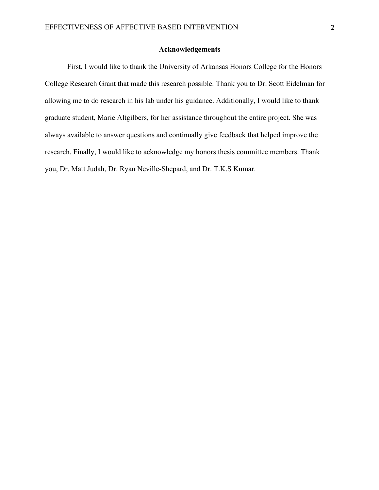### **Acknowledgements**

First, I would like to thank the University of Arkansas Honors College for the Honors College Research Grant that made this research possible. Thank you to Dr. Scott Eidelman for allowing me to do research in his lab under his guidance. Additionally, I would like to thank graduate student, Marie Altgilbers, for her assistance throughout the entire project. She was always available to answer questions and continually give feedback that helped improve the research. Finally, I would like to acknowledge my honors thesis committee members. Thank you, Dr. Matt Judah, Dr. Ryan Neville-Shepard, and Dr. T.K.S Kumar.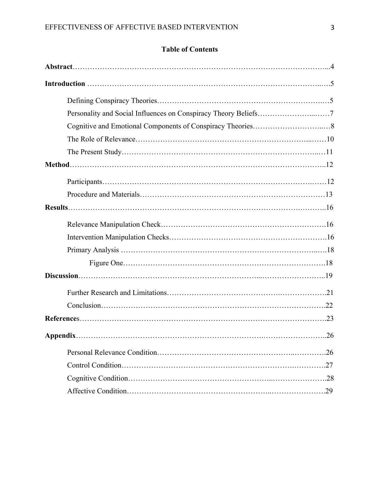## **Table of Contents**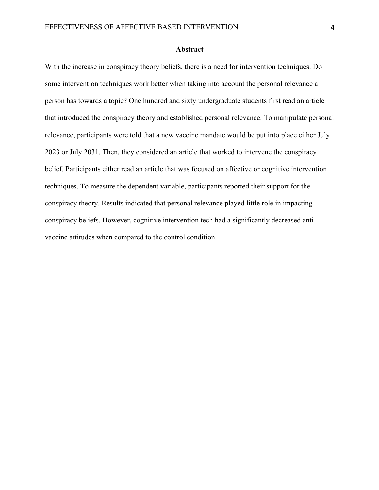#### **Abstract**

With the increase in conspiracy theory beliefs, there is a need for intervention techniques. Do some intervention techniques work better when taking into account the personal relevance a person has towards a topic? One hundred and sixty undergraduate students first read an article that introduced the conspiracy theory and established personal relevance. To manipulate personal relevance, participants were told that a new vaccine mandate would be put into place either July 2023 or July 2031. Then, they considered an article that worked to intervene the conspiracy belief. Participants either read an article that was focused on affective or cognitive intervention techniques. To measure the dependent variable, participants reported their support for the conspiracy theory. Results indicated that personal relevance played little role in impacting conspiracy beliefs. However, cognitive intervention tech had a significantly decreased antivaccine attitudes when compared to the control condition.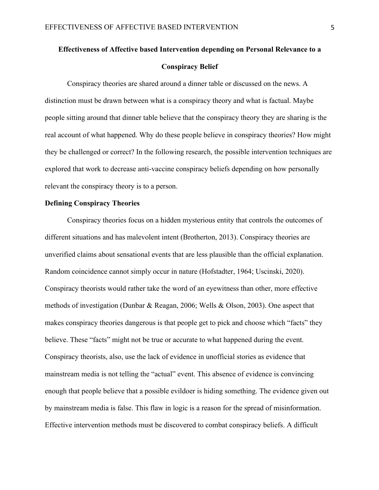# **Effectiveness of Affective based Intervention depending on Personal Relevance to a Conspiracy Belief**

Conspiracy theories are shared around a dinner table or discussed on the news. A distinction must be drawn between what is a conspiracy theory and what is factual. Maybe people sitting around that dinner table believe that the conspiracy theory they are sharing is the real account of what happened. Why do these people believe in conspiracy theories? How might they be challenged or correct? In the following research, the possible intervention techniques are explored that work to decrease anti-vaccine conspiracy beliefs depending on how personally relevant the conspiracy theory is to a person.

#### **Defining Conspiracy Theories**

Conspiracy theories focus on a hidden mysterious entity that controls the outcomes of different situations and has malevolent intent (Brotherton, 2013). Conspiracy theories are unverified claims about sensational events that are less plausible than the official explanation. Random coincidence cannot simply occur in nature (Hofstadter, 1964; Uscinski, 2020). Conspiracy theorists would rather take the word of an eyewitness than other, more effective methods of investigation (Dunbar & Reagan, 2006; Wells & Olson, 2003). One aspect that makes conspiracy theories dangerous is that people get to pick and choose which "facts" they believe. These "facts" might not be true or accurate to what happened during the event. Conspiracy theorists, also, use the lack of evidence in unofficial stories as evidence that mainstream media is not telling the "actual" event. This absence of evidence is convincing enough that people believe that a possible evildoer is hiding something. The evidence given out by mainstream media is false. This flaw in logic is a reason for the spread of misinformation. Effective intervention methods must be discovered to combat conspiracy beliefs. A difficult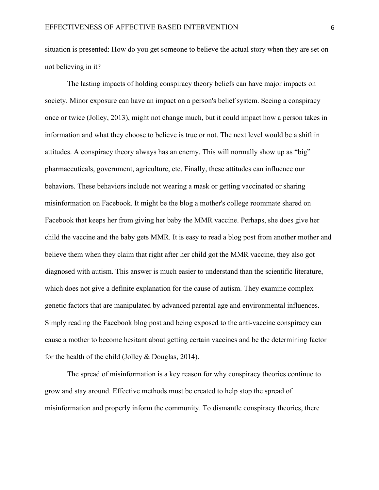situation is presented: How do you get someone to believe the actual story when they are set on not believing in it?

The lasting impacts of holding conspiracy theory beliefs can have major impacts on society. Minor exposure can have an impact on a person's belief system. Seeing a conspiracy once or twice (Jolley, 2013), might not change much, but it could impact how a person takes in information and what they choose to believe is true or not. The next level would be a shift in attitudes. A conspiracy theory always has an enemy. This will normally show up as "big" pharmaceuticals, government, agriculture, etc. Finally, these attitudes can influence our behaviors. These behaviors include not wearing a mask or getting vaccinated or sharing misinformation on Facebook. It might be the blog a mother's college roommate shared on Facebook that keeps her from giving her baby the MMR vaccine. Perhaps, she does give her child the vaccine and the baby gets MMR. It is easy to read a blog post from another mother and believe them when they claim that right after her child got the MMR vaccine, they also got diagnosed with autism. This answer is much easier to understand than the scientific literature, which does not give a definite explanation for the cause of autism. They examine complex genetic factors that are manipulated by advanced parental age and environmental influences. Simply reading the Facebook blog post and being exposed to the anti-vaccine conspiracy can cause a mother to become hesitant about getting certain vaccines and be the determining factor for the health of the child (Jolley & Douglas, 2014).

The spread of misinformation is a key reason for why conspiracy theories continue to grow and stay around. Effective methods must be created to help stop the spread of misinformation and properly inform the community. To dismantle conspiracy theories, there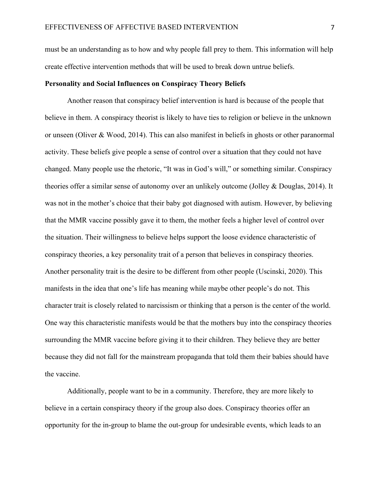must be an understanding as to how and why people fall prey to them. This information will help create effective intervention methods that will be used to break down untrue beliefs.

#### **Personality and Social Influences on Conspiracy Theory Beliefs**

Another reason that conspiracy belief intervention is hard is because of the people that believe in them. A conspiracy theorist is likely to have ties to religion or believe in the unknown or unseen (Oliver & Wood, 2014). This can also manifest in beliefs in ghosts or other paranormal activity. These beliefs give people a sense of control over a situation that they could not have changed. Many people use the rhetoric, "It was in God's will," or something similar. Conspiracy theories offer a similar sense of autonomy over an unlikely outcome (Jolley & Douglas, 2014). It was not in the mother's choice that their baby got diagnosed with autism. However, by believing that the MMR vaccine possibly gave it to them, the mother feels a higher level of control over the situation. Their willingness to believe helps support the loose evidence characteristic of conspiracy theories, a key personality trait of a person that believes in conspiracy theories. Another personality trait is the desire to be different from other people (Uscinski, 2020). This manifests in the idea that one's life has meaning while maybe other people's do not. This character trait is closely related to narcissism or thinking that a person is the center of the world. One way this characteristic manifests would be that the mothers buy into the conspiracy theories surrounding the MMR vaccine before giving it to their children. They believe they are better because they did not fall for the mainstream propaganda that told them their babies should have the vaccine.

Additionally, people want to be in a community. Therefore, they are more likely to believe in a certain conspiracy theory if the group also does. Conspiracy theories offer an opportunity for the in-group to blame the out-group for undesirable events, which leads to an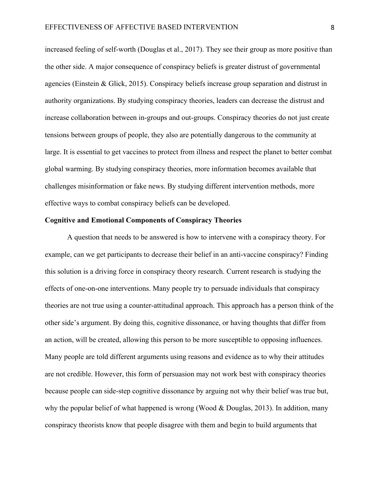increased feeling of self-worth (Douglas et al., 2017). They see their group as more positive than the other side. A major consequence of conspiracy beliefs is greater distrust of governmental agencies (Einstein & Glick, 2015). Conspiracy beliefs increase group separation and distrust in authority organizations. By studying conspiracy theories, leaders can decrease the distrust and increase collaboration between in-groups and out-groups. Conspiracy theories do not just create tensions between groups of people, they also are potentially dangerous to the community at large. It is essential to get vaccines to protect from illness and respect the planet to better combat global warming. By studying conspiracy theories, more information becomes available that challenges misinformation or fake news. By studying different intervention methods, more effective ways to combat conspiracy beliefs can be developed.

#### **Cognitive and Emotional Components of Conspiracy Theories**

A question that needs to be answered is how to intervene with a conspiracy theory. For example, can we get participants to decrease their belief in an anti-vaccine conspiracy? Finding this solution is a driving force in conspiracy theory research. Current research is studying the effects of one-on-one interventions. Many people try to persuade individuals that conspiracy theories are not true using a counter-attitudinal approach. This approach has a person think of the other side's argument. By doing this, cognitive dissonance, or having thoughts that differ from an action, will be created, allowing this person to be more susceptible to opposing influences. Many people are told different arguments using reasons and evidence as to why their attitudes are not credible. However, this form of persuasion may not work best with conspiracy theories because people can side-step cognitive dissonance by arguing not why their belief was true but, why the popular belief of what happened is wrong (Wood & Douglas, 2013). In addition, many conspiracy theorists know that people disagree with them and begin to build arguments that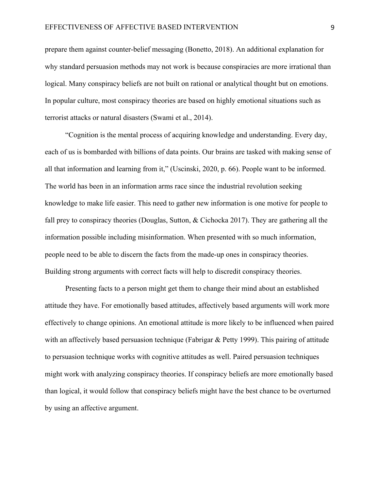prepare them against counter-belief messaging (Bonetto, 2018). An additional explanation for why standard persuasion methods may not work is because conspiracies are more irrational than logical. Many conspiracy beliefs are not built on rational or analytical thought but on emotions. In popular culture, most conspiracy theories are based on highly emotional situations such as terrorist attacks or natural disasters (Swami et al., 2014).

 "Cognition is the mental process of acquiring knowledge and understanding. Every day, each of us is bombarded with billions of data points. Our brains are tasked with making sense of all that information and learning from it," (Uscinski, 2020, p. 66). People want to be informed. The world has been in an information arms race since the industrial revolution seeking knowledge to make life easier. This need to gather new information is one motive for people to fall prey to conspiracy theories (Douglas, Sutton, & Cichocka 2017). They are gathering all the information possible including misinformation. When presented with so much information, people need to be able to discern the facts from the made-up ones in conspiracy theories. Building strong arguments with correct facts will help to discredit conspiracy theories.

 Presenting facts to a person might get them to change their mind about an established attitude they have. For emotionally based attitudes, affectively based arguments will work more effectively to change opinions. An emotional attitude is more likely to be influenced when paired with an affectively based persuasion technique (Fabrigar & Petty 1999). This pairing of attitude to persuasion technique works with cognitive attitudes as well. Paired persuasion techniques might work with analyzing conspiracy theories. If conspiracy beliefs are more emotionally based than logical, it would follow that conspiracy beliefs might have the best chance to be overturned by using an affective argument.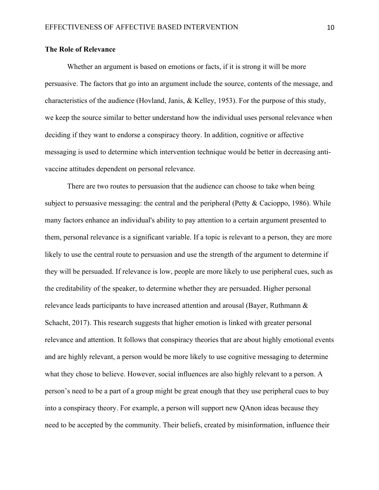#### **The Role of Relevance**

Whether an argument is based on emotions or facts, if it is strong it will be more persuasive. The factors that go into an argument include the source, contents of the message, and characteristics of the audience (Hovland, Janis, & Kelley, 1953). For the purpose of this study, we keep the source similar to better understand how the individual uses personal relevance when deciding if they want to endorse a conspiracy theory. In addition, cognitive or affective messaging is used to determine which intervention technique would be better in decreasing antivaccine attitudes dependent on personal relevance.

There are two routes to persuasion that the audience can choose to take when being subject to persuasive messaging: the central and the peripheral (Petty & Cacioppo, 1986). While many factors enhance an individual's ability to pay attention to a certain argument presented to them, personal relevance is a significant variable. If a topic is relevant to a person, they are more likely to use the central route to persuasion and use the strength of the argument to determine if they will be persuaded. If relevance is low, people are more likely to use peripheral cues, such as the creditability of the speaker, to determine whether they are persuaded. Higher personal relevance leads participants to have increased attention and arousal (Bayer, Ruthmann & Schacht, 2017). This research suggests that higher emotion is linked with greater personal relevance and attention. It follows that conspiracy theories that are about highly emotional events and are highly relevant, a person would be more likely to use cognitive messaging to determine what they chose to believe. However, social influences are also highly relevant to a person. A person's need to be a part of a group might be great enough that they use peripheral cues to buy into a conspiracy theory. For example, a person will support new QAnon ideas because they need to be accepted by the community. Their beliefs, created by misinformation, influence their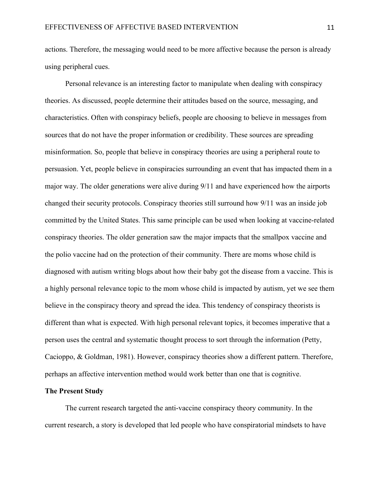actions. Therefore, the messaging would need to be more affective because the person is already using peripheral cues.

 Personal relevance is an interesting factor to manipulate when dealing with conspiracy theories. As discussed, people determine their attitudes based on the source, messaging, and characteristics. Often with conspiracy beliefs, people are choosing to believe in messages from sources that do not have the proper information or credibility. These sources are spreading misinformation. So, people that believe in conspiracy theories are using a peripheral route to persuasion. Yet, people believe in conspiracies surrounding an event that has impacted them in a major way. The older generations were alive during 9/11 and have experienced how the airports changed their security protocols. Conspiracy theories still surround how 9/11 was an inside job committed by the United States. This same principle can be used when looking at vaccine-related conspiracy theories. The older generation saw the major impacts that the smallpox vaccine and the polio vaccine had on the protection of their community. There are moms whose child is diagnosed with autism writing blogs about how their baby got the disease from a vaccine. This is a highly personal relevance topic to the mom whose child is impacted by autism, yet we see them believe in the conspiracy theory and spread the idea. This tendency of conspiracy theorists is different than what is expected. With high personal relevant topics, it becomes imperative that a person uses the central and systematic thought process to sort through the information (Petty, Cacioppo, & Goldman, 1981). However, conspiracy theories show a different pattern. Therefore, perhaps an affective intervention method would work better than one that is cognitive.

#### **The Present Study**

 The current research targeted the anti-vaccine conspiracy theory community. In the current research, a story is developed that led people who have conspiratorial mindsets to have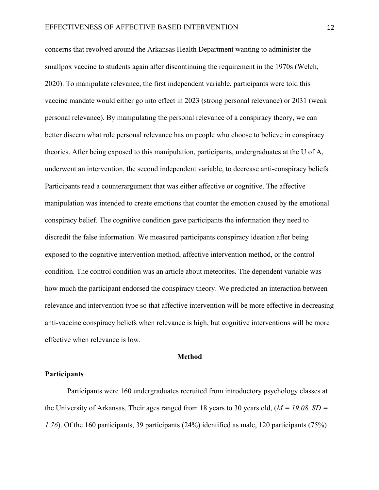concerns that revolved around the Arkansas Health Department wanting to administer the smallpox vaccine to students again after discontinuing the requirement in the 1970s (Welch, 2020). To manipulate relevance, the first independent variable, participants were told this vaccine mandate would either go into effect in 2023 (strong personal relevance) or 2031 (weak personal relevance). By manipulating the personal relevance of a conspiracy theory, we can better discern what role personal relevance has on people who choose to believe in conspiracy theories. After being exposed to this manipulation, participants, undergraduates at the U of A, underwent an intervention, the second independent variable, to decrease anti-conspiracy beliefs. Participants read a counterargument that was either affective or cognitive. The affective manipulation was intended to create emotions that counter the emotion caused by the emotional conspiracy belief. The cognitive condition gave participants the information they need to discredit the false information. We measured participants conspiracy ideation after being exposed to the cognitive intervention method, affective intervention method, or the control condition. The control condition was an article about meteorites. The dependent variable was how much the participant endorsed the conspiracy theory. We predicted an interaction between relevance and intervention type so that affective intervention will be more effective in decreasing anti-vaccine conspiracy beliefs when relevance is high, but cognitive interventions will be more effective when relevance is low.

#### **Method**

#### **Participants**

Participants were 160 undergraduates recruited from introductory psychology classes at the University of Arkansas. Their ages ranged from 18 years to 30 years old, (*M = 19.08, SD = 1.76*). Of the 160 participants, 39 participants (24%) identified as male, 120 participants (75%)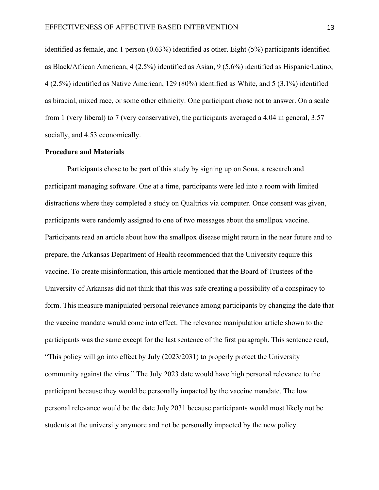identified as female, and 1 person (0.63%) identified as other. Eight (5%) participants identified as Black/African American, 4 (2.5%) identified as Asian, 9 (5.6%) identified as Hispanic/Latino, 4 (2.5%) identified as Native American, 129 (80%) identified as White, and 5 (3.1%) identified as biracial, mixed race, or some other ethnicity. One participant chose not to answer. On a scale from 1 (very liberal) to 7 (very conservative), the participants averaged a 4.04 in general, 3.57 socially, and 4.53 economically.

#### **Procedure and Materials**

Participants chose to be part of this study by signing up on Sona, a research and participant managing software. One at a time, participants were led into a room with limited distractions where they completed a study on Qualtrics via computer. Once consent was given, participants were randomly assigned to one of two messages about the smallpox vaccine. Participants read an article about how the smallpox disease might return in the near future and to prepare, the Arkansas Department of Health recommended that the University require this vaccine. To create misinformation, this article mentioned that the Board of Trustees of the University of Arkansas did not think that this was safe creating a possibility of a conspiracy to form. This measure manipulated personal relevance among participants by changing the date that the vaccine mandate would come into effect. The relevance manipulation article shown to the participants was the same except for the last sentence of the first paragraph. This sentence read, "This policy will go into effect by July (2023/2031) to properly protect the University community against the virus." The July 2023 date would have high personal relevance to the participant because they would be personally impacted by the vaccine mandate. The low personal relevance would be the date July 2031 because participants would most likely not be students at the university anymore and not be personally impacted by the new policy.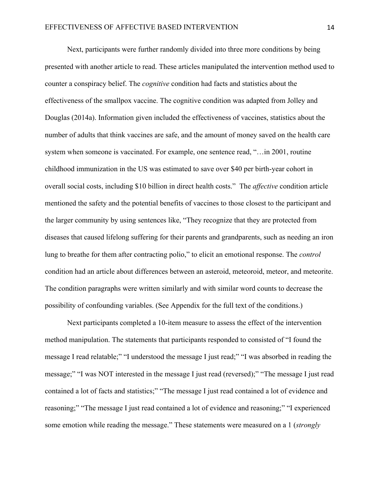Next, participants were further randomly divided into three more conditions by being presented with another article to read. These articles manipulated the intervention method used to counter a conspiracy belief. The *cognitive* condition had facts and statistics about the effectiveness of the smallpox vaccine. The cognitive condition was adapted from Jolley and Douglas (2014a). Information given included the effectiveness of vaccines, statistics about the number of adults that think vaccines are safe, and the amount of money saved on the health care system when someone is vaccinated. For example, one sentence read, "…in 2001, routine childhood immunization in the US was estimated to save over \$40 per birth-year cohort in overall social costs, including \$10 billion in direct health costs." The *affective* condition article mentioned the safety and the potential benefits of vaccines to those closest to the participant and the larger community by using sentences like, "They recognize that they are protected from diseases that caused lifelong suffering for their parents and grandparents, such as needing an iron lung to breathe for them after contracting polio," to elicit an emotional response. The *control* condition had an article about differences between an asteroid, meteoroid, meteor, and meteorite. The condition paragraphs were written similarly and with similar word counts to decrease the possibility of confounding variables. (See Appendix for the full text of the conditions.)

Next participants completed a 10-item measure to assess the effect of the intervention method manipulation. The statements that participants responded to consisted of "I found the message I read relatable;" "I understood the message I just read;" "I was absorbed in reading the message;" "I was NOT interested in the message I just read (reversed);" "The message I just read contained a lot of facts and statistics;" "The message I just read contained a lot of evidence and reasoning;" "The message I just read contained a lot of evidence and reasoning;" "I experienced some emotion while reading the message." These statements were measured on a 1 (*strongly*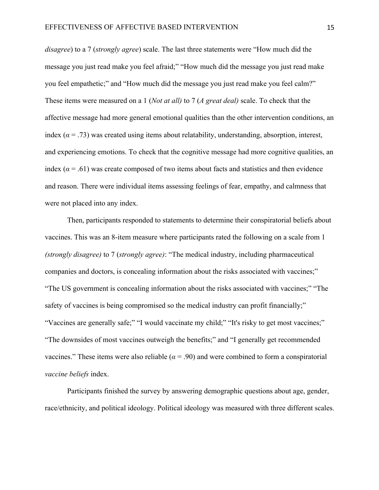*disagree*) to a 7 (*strongly agree*) scale. The last three statements were "How much did the message you just read make you feel afraid;" "How much did the message you just read make you feel empathetic;" and "How much did the message you just read make you feel calm?" These items were measured on a 1 (*Not at all)* to 7 (*A great deal)* scale. To check that the affective message had more general emotional qualities than the other intervention conditions, an index ( $\alpha$  = .73) was created using items about relatability, understanding, absorption, interest, and experiencing emotions. To check that the cognitive message had more cognitive qualities, an index ( $\alpha$  = .61) was create composed of two items about facts and statistics and then evidence and reason. There were individual items assessing feelings of fear, empathy, and calmness that were not placed into any index.

Then, participants responded to statements to determine their conspiratorial beliefs about vaccines. This was an 8-item measure where participants rated the following on a scale from 1 *(strongly disagree)* to 7 (*strongly agree)*: "The medical industry, including pharmaceutical companies and doctors, is concealing information about the risks associated with vaccines;" "The US government is concealing information about the risks associated with vaccines;" "The safety of vaccines is being compromised so the medical industry can profit financially;" "Vaccines are generally safe;" "I would vaccinate my child;" "It's risky to get most vaccines;" "The downsides of most vaccines outweigh the benefits;" and "I generally get recommended vaccines." These items were also reliable  $(a = .90)$  and were combined to form a conspiratorial *vaccine beliefs* index.

Participants finished the survey by answering demographic questions about age, gender, race/ethnicity, and political ideology. Political ideology was measured with three different scales.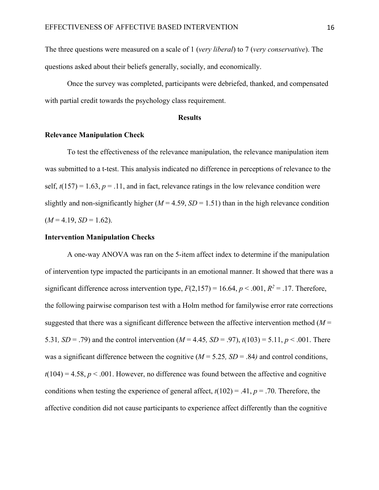The three questions were measured on a scale of 1 (*very liberal*) to 7 (*very conservative*). The questions asked about their beliefs generally, socially, and economically.

Once the survey was completed, participants were debriefed, thanked, and compensated with partial credit towards the psychology class requirement.

#### **Results**

#### **Relevance Manipulation Check**

To test the effectiveness of the relevance manipulation, the relevance manipulation item was submitted to a t-test. This analysis indicated no difference in perceptions of relevance to the self,  $t(157) = 1.63$ ,  $p = .11$ , and in fact, relevance ratings in the low relevance condition were slightly and non-significantly higher  $(M = 4.59, SD = 1.51)$  than in the high relevance condition  $(M = 4.19, SD = 1.62)$ .

#### **Intervention Manipulation Checks**

A one-way ANOVA was ran on the 5-item affect index to determine if the manipulation of intervention type impacted the participants in an emotional manner. It showed that there was a significant difference across intervention type,  $F(2,157) = 16.64$ ,  $p < .001$ ,  $R^2 = .17$ . Therefore, the following pairwise comparison test with a Holm method for familywise error rate corrections suggested that there was a significant difference between the affective intervention method  $(M =$ 5.31,  $SD = .79$ ) and the control intervention ( $M = 4.45$ ,  $SD = .97$ ),  $t(103) = 5.11$ ,  $p < .001$ . There was a significant difference between the cognitive (*M* = 5.25*, SD* = .84*)* and control conditions,  $t(104) = 4.58$ ,  $p < .001$ . However, no difference was found between the affective and cognitive conditions when testing the experience of general affect,  $t(102) = .41$ ,  $p = .70$ . Therefore, the affective condition did not cause participants to experience affect differently than the cognitive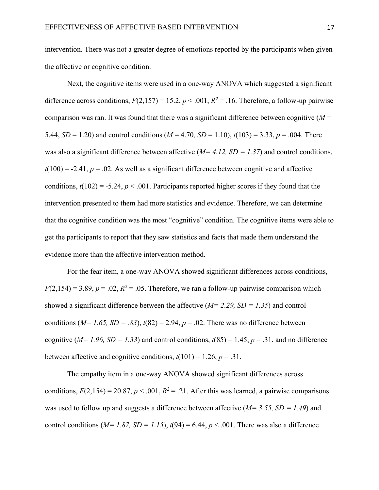intervention. There was not a greater degree of emotions reported by the participants when given the affective or cognitive condition.

Next, the cognitive items were used in a one-way ANOVA which suggested a significant difference across conditions,  $F(2,157) = 15.2$ ,  $p < .001$ ,  $R^2 = .16$ . Therefore, a follow-up pairwise comparison was ran. It was found that there was a significant difference between cognitive  $(M =$ 5.44, *SD* = 1.20) and control conditions ( $M = 4.70$ , *SD* = 1.10),  $t(103) = 3.33$ ,  $p = .004$ . There was also a significant difference between affective  $(M=4.12, SD=1.37)$  and control conditions,  $t(100) = -2.41$ ,  $p = .02$ . As well as a significant difference between cognitive and affective conditions,  $t(102) = -5.24$ ,  $p < .001$ . Participants reported higher scores if they found that the intervention presented to them had more statistics and evidence. Therefore, we can determine that the cognitive condition was the most "cognitive" condition. The cognitive items were able to get the participants to report that they saw statistics and facts that made them understand the evidence more than the affective intervention method.

For the fear item, a one-way ANOVA showed significant differences across conditions,  $F(2,154) = 3.89, p = .02, R^2 = .05$ . Therefore, we ran a follow-up pairwise comparison which showed a significant difference between the affective (*M= 2.29, SD = 1.35*) and control conditions ( $M= 1.65$ ,  $SD = .83$ ),  $t(82) = 2.94$ ,  $p = .02$ . There was no difference between cognitive ( $M= 1.96$ ,  $SD = 1.33$ ) and control conditions,  $t(85) = 1.45$ ,  $p = .31$ , and no difference between affective and cognitive conditions,  $t(101) = 1.26$ ,  $p = .31$ .

The empathy item in a one-way ANOVA showed significant differences across conditions,  $F(2,154) = 20.87$ ,  $p < .001$ ,  $R^2 = .21$ . After this was learned, a pairwise comparisons was used to follow up and suggests a difference between affective (*M= 3.55, SD = 1.49*) and control conditions ( $M= 1.87$ ,  $SD = 1.15$ ),  $t(94) = 6.44$ ,  $p < .001$ . There was also a difference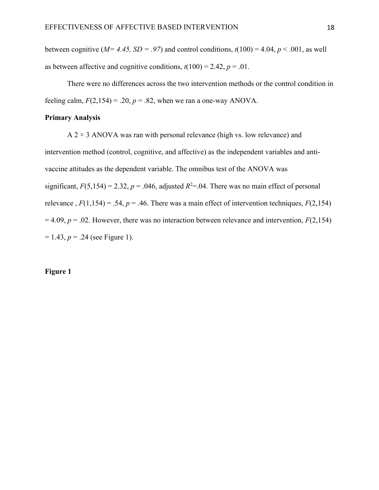between cognitive ( $M=4.45$ ,  $SD=.97$ ) and control conditions,  $t(100) = 4.04$ ,  $p < .001$ , as well as between affective and cognitive conditions,  $t(100) = 2.42$ ,  $p = .01$ .

There were no differences across the two intervention methods or the control condition in feeling calm,  $F(2,154) = .20$ ,  $p = .82$ , when we ran a one-way ANOVA.

#### **Primary Analysis**

 $A$  2  $\times$  3 ANOVA was ran with personal relevance (high vs. low relevance) and intervention method (control, cognitive, and affective) as the independent variables and antivaccine attitudes as the dependent variable. The omnibus test of the ANOVA was significant,  $F(5,154) = 2.32$ ,  $p = .046$ , adjusted  $R<sup>2</sup>=.04$ . There was no main effect of personal relevance,  $F(1,154) = .54$ ,  $p = .46$ . There was a main effect of intervention techniques,  $F(2,154)$  $= 4.09$ ,  $p = .02$ . However, there was no interaction between relevance and intervention,  $F(2,154)$  $= 1.43, p = .24$  (see Figure 1).

#### **Figure 1**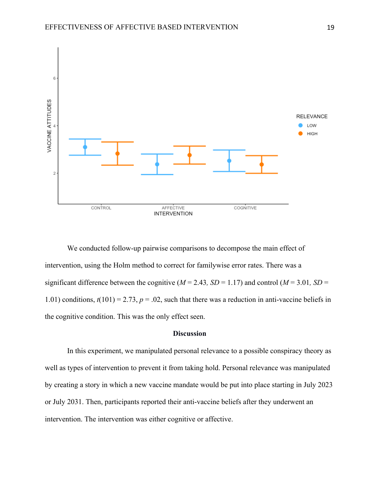

We conducted follow-up pairwise comparisons to decompose the main effect of intervention, using the Holm method to correct for familywise error rates. There was a significant difference between the cognitive ( $M = 2.43$ ,  $SD = 1.17$ ) and control ( $M = 3.01$ ,  $SD = 1.17$ ) 1.01) conditions,  $t(101) = 2.73$ ,  $p = .02$ , such that there was a reduction in anti-vaccine beliefs in the cognitive condition. This was the only effect seen.

### **Discussion**

In this experiment, we manipulated personal relevance to a possible conspiracy theory as well as types of intervention to prevent it from taking hold. Personal relevance was manipulated by creating a story in which a new vaccine mandate would be put into place starting in July 2023 or July 2031. Then, participants reported their anti-vaccine beliefs after they underwent an intervention. The intervention was either cognitive or affective.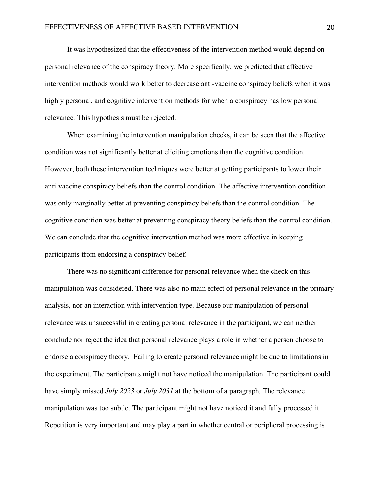It was hypothesized that the effectiveness of the intervention method would depend on personal relevance of the conspiracy theory. More specifically, we predicted that affective intervention methods would work better to decrease anti-vaccine conspiracy beliefs when it was highly personal, and cognitive intervention methods for when a conspiracy has low personal relevance. This hypothesis must be rejected.

When examining the intervention manipulation checks, it can be seen that the affective condition was not significantly better at eliciting emotions than the cognitive condition. However, both these intervention techniques were better at getting participants to lower their anti-vaccine conspiracy beliefs than the control condition. The affective intervention condition was only marginally better at preventing conspiracy beliefs than the control condition. The cognitive condition was better at preventing conspiracy theory beliefs than the control condition. We can conclude that the cognitive intervention method was more effective in keeping participants from endorsing a conspiracy belief.

There was no significant difference for personal relevance when the check on this manipulation was considered. There was also no main effect of personal relevance in the primary analysis, nor an interaction with intervention type. Because our manipulation of personal relevance was unsuccessful in creating personal relevance in the participant, we can neither conclude nor reject the idea that personal relevance plays a role in whether a person choose to endorse a conspiracy theory. Failing to create personal relevance might be due to limitations in the experiment. The participants might not have noticed the manipulation. The participant could have simply missed *July 2023* or *July 2031* at the bottom of a paragraph*.* The relevance manipulation was too subtle. The participant might not have noticed it and fully processed it. Repetition is very important and may play a part in whether central or peripheral processing is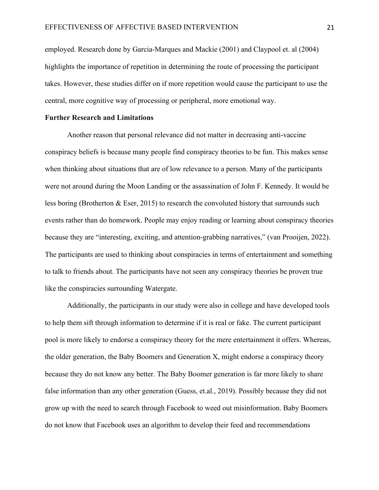employed. Research done by Garcia-Marques and Mackie (2001) and Claypool et. al (2004) highlights the importance of repetition in determining the route of processing the participant takes. However, these studies differ on if more repetition would cause the participant to use the central, more cognitive way of processing or peripheral, more emotional way.

#### **Further Research and Limitations**

Another reason that personal relevance did not matter in decreasing anti-vaccine conspiracy beliefs is because many people find conspiracy theories to be fun. This makes sense when thinking about situations that are of low relevance to a person. Many of the participants were not around during the Moon Landing or the assassination of John F. Kennedy. It would be less boring (Brotherton & Eser, 2015) to research the convoluted history that surrounds such events rather than do homework. People may enjoy reading or learning about conspiracy theories because they are "interesting, exciting, and attention-grabbing narratives," (van Prooijen, 2022). The participants are used to thinking about conspiracies in terms of entertainment and something to talk to friends about. The participants have not seen any conspiracy theories be proven true like the conspiracies surrounding Watergate.

Additionally, the participants in our study were also in college and have developed tools to help them sift through information to determine if it is real or fake. The current participant pool is more likely to endorse a conspiracy theory for the mere entertainment it offers. Whereas, the older generation, the Baby Boomers and Generation X, might endorse a conspiracy theory because they do not know any better. The Baby Boomer generation is far more likely to share false information than any other generation (Guess, et.al., 2019). Possibly because they did not grow up with the need to search through Facebook to weed out misinformation. Baby Boomers do not know that Facebook uses an algorithm to develop their feed and recommendations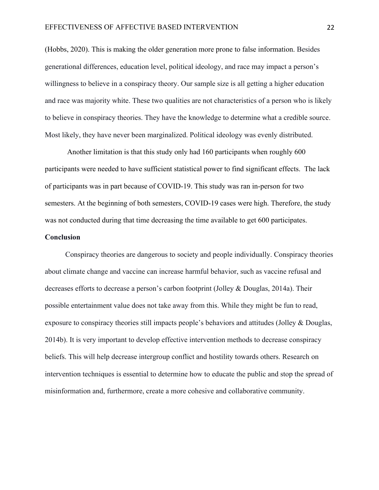(Hobbs, 2020). This is making the older generation more prone to false information. Besides generational differences, education level, political ideology, and race may impact a person's willingness to believe in a conspiracy theory. Our sample size is all getting a higher education and race was majority white. These two qualities are not characteristics of a person who is likely to believe in conspiracy theories. They have the knowledge to determine what a credible source. Most likely, they have never been marginalized. Political ideology was evenly distributed.

Another limitation is that this study only had 160 participants when roughly 600 participants were needed to have sufficient statistical power to find significant effects. The lack of participants was in part because of COVID-19. This study was ran in-person for two semesters. At the beginning of both semesters, COVID-19 cases were high. Therefore, the study was not conducted during that time decreasing the time available to get 600 participates.

#### **Conclusion**

Conspiracy theories are dangerous to society and people individually. Conspiracy theories about climate change and vaccine can increase harmful behavior, such as vaccine refusal and decreases efforts to decrease a person's carbon footprint (Jolley & Douglas, 2014a). Their possible entertainment value does not take away from this. While they might be fun to read, exposure to conspiracy theories still impacts people's behaviors and attitudes (Jolley & Douglas, 2014b). It is very important to develop effective intervention methods to decrease conspiracy beliefs. This will help decrease intergroup conflict and hostility towards others. Research on intervention techniques is essential to determine how to educate the public and stop the spread of misinformation and, furthermore, create a more cohesive and collaborative community.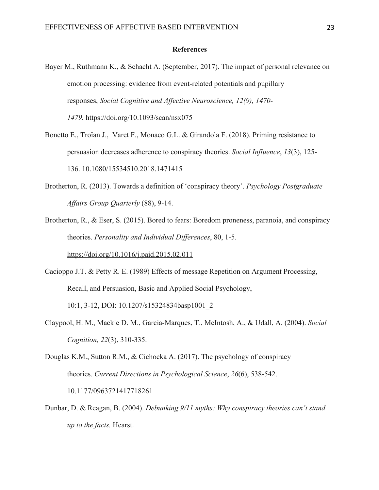#### **References**

- Bayer M., Ruthmann K., & Schacht A. (September, 2017). The impact of personal relevance on emotion processing: evidence from event-related potentials and pupillary responses, *Social Cognitive and Affective Neuroscience, 12(9), 1470- 1479.* https://doi.org/10.1093/scan/nsx075
- Bonetto E., Troïan J., Varet F., Monaco G.L. & Girandola F. (2018). Priming resistance to persuasion decreases adherence to conspiracy theories. *Social Influence*, *13*(3), 125- 136. 10.1080/15534510.2018.1471415
- Brotherton, R. (2013). Towards a definition of 'conspiracy theory'. *Psychology Postgraduate Affairs Group Quarterly* (88), 9-14.
- Brotherton, R., & Eser, S. (2015). Bored to fears: Boredom proneness, paranoia, and conspiracy theories. *Personality and Individual Differences*, 80, 1-5. https://doi.org/10.1016/j.paid.2015.02.011
- Cacioppo J.T. & Petty R. E. (1989) Effects of message Repetition on Argument Processing, Recall, and Persuasion, Basic and Applied Social Psychology,

10:1, 3-12, DOI: 10.1207/s15324834basp1001\_2

- Claypool, H. M., Mackie D. M., Garcia-Marques, T., McIntosh, A., & Udall, A. (2004). *Social Cognition, 22*(3), 310-335.
- Douglas K.M., Sutton R.M., & Cichocka A. (2017). The psychology of conspiracy theories. *Current Directions in Psychological Science*, *26*(6), 538-542. 10.1177/0963721417718261
- Dunbar, D. & Reagan, B. (2004). *Debunking 9/11 myths: Why conspiracy theories can't stand up to the facts.* Hearst.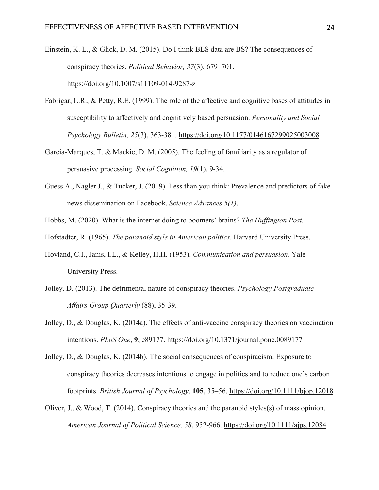Einstein, K. L., & Glick, D. M. (2015). Do I think BLS data are BS? The consequences of conspiracy theories. *Political Behavior, 37*(3), 679–701. https://doi.org/10.1007/s11109-014-9287-z

- Fabrigar, L.R., & Petty, R.E. (1999). The role of the affective and cognitive bases of attitudes in susceptibility to affectively and cognitively based persuasion. *Personality and Social Psychology Bulletin, 25*(3), 363-381. https://doi.org/10.1177/0146167299025003008
- Garcia-Marques, T. & Mackie, D. M. (2005). The feeling of familiarity as a regulator of persuasive processing. *Social Cognition, 19*(1), 9-34.
- Guess A., Nagler J., & Tucker, J. (2019). Less than you think: Prevalence and predictors of fake news dissemination on Facebook. *Science Advances 5(1)*.
- Hobbs, M. (2020). What is the internet doing to boomers' brains? *The Huffington Post.*
- Hofstadter, R. (1965). *The paranoid style in American politics*. Harvard University Press.
- Hovland, C.I., Janis, I.L., & Kelley, H.H. (1953). *Communication and persuasion.* Yale University Press.
- Jolley. D. (2013). The detrimental nature of conspiracy theories. *Psychology Postgraduate Affairs Group Quarterly* (88), 35-39.
- Jolley, D., & Douglas, K. (2014a). The effects of anti-vaccine conspiracy theories on vaccination intentions. *PLoS One*, **9**, e89177. https://doi.org/10.1371/journal.pone.0089177
- Jolley, D., & Douglas, K. (2014b). The social consequences of conspiracism: Exposure to conspiracy theories decreases intentions to engage in politics and to reduce one's carbon footprints. *British Journal of Psychology*, **105**, 35–56. https://doi.org/10.1111/bjop.12018
- Oliver, J., & Wood, T. (2014). Conspiracy theories and the paranoid styles(s) of mass opinion. *American Journal of Political Science, 58*, 952-966. https://doi.org/10.1111/ajps.12084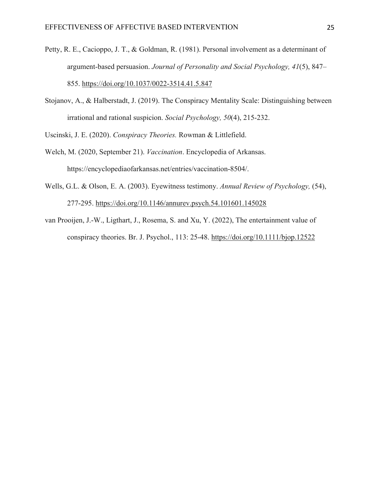- Petty, R. E., Cacioppo, J. T., & Goldman, R. (1981). Personal involvement as a determinant of argument-based persuasion. *Journal of Personality and Social Psychology, 41*(5), 847– 855. https://doi.org/10.1037/0022-3514.41.5.847
- Stojanov, A., & Halberstadt, J. (2019). The Conspiracy Mentality Scale: Distinguishing between irrational and rational suspicion. *Social Psychology, 50*(4), 215-232.

Uscinski, J. E. (2020). *Conspiracy Theories.* Rowman & Littlefield.

- Welch, M. (2020, September 21). *Vaccination*. Encyclopedia of Arkansas. https://encyclopediaofarkansas.net/entries/vaccination-8504/.
- Wells, G.L. & Olson, E. A. (2003). Eyewitness testimony. *Annual Review of Psychology,* (54), 277-295. https://doi.org/10.1146/annurev.psych.54.101601.145028
- van Prooijen, J.-W., Ligthart, J., Rosema, S. and Xu, Y. (2022), The entertainment value of conspiracy theories. Br. J. Psychol., 113: 25-48. https://doi.org/10.1111/bjop.12522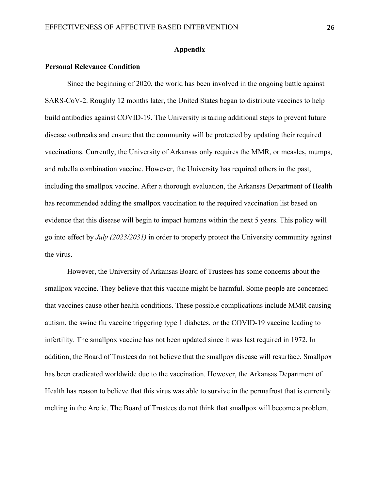#### **Appendix**

#### **Personal Relevance Condition**

Since the beginning of 2020, the world has been involved in the ongoing battle against SARS-CoV-2. Roughly 12 months later, the United States began to distribute vaccines to help build antibodies against COVID-19. The University is taking additional steps to prevent future disease outbreaks and ensure that the community will be protected by updating their required vaccinations. Currently, the University of Arkansas only requires the MMR, or measles, mumps, and rubella combination vaccine. However, the University has required others in the past, including the smallpox vaccine. After a thorough evaluation, the Arkansas Department of Health has recommended adding the smallpox vaccination to the required vaccination list based on evidence that this disease will begin to impact humans within the next 5 years. This policy will go into effect by *July (2023/2031)* in order to properly protect the University community against the virus.

However, the University of Arkansas Board of Trustees has some concerns about the smallpox vaccine. They believe that this vaccine might be harmful. Some people are concerned that vaccines cause other health conditions. These possible complications include MMR causing autism, the swine flu vaccine triggering type 1 diabetes, or the COVID-19 vaccine leading to infertility. The smallpox vaccine has not been updated since it was last required in 1972. In addition, the Board of Trustees do not believe that the smallpox disease will resurface. Smallpox has been eradicated worldwide due to the vaccination. However, the Arkansas Department of Health has reason to believe that this virus was able to survive in the permafrost that is currently melting in the Arctic. The Board of Trustees do not think that smallpox will become a problem.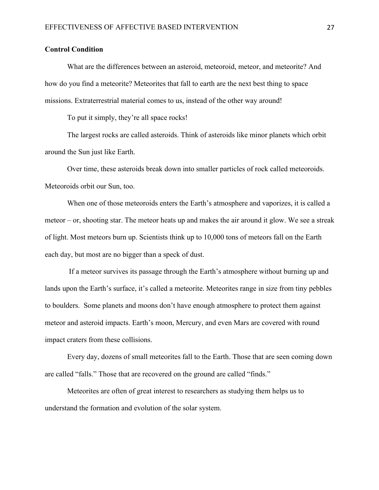#### **Control Condition**

What are the differences between an asteroid, meteoroid, meteor, and meteorite? And how do you find a meteorite? Meteorites that fall to earth are the next best thing to space missions. Extraterrestrial material comes to us, instead of the other way around!

To put it simply, they're all space rocks!

The largest rocks are called asteroids. Think of asteroids like minor planets which orbit around the Sun just like Earth.

Over time, these asteroids break down into smaller particles of rock called meteoroids. Meteoroids orbit our Sun, too.

When one of those meteoroids enters the Earth's atmosphere and vaporizes, it is called a meteor – or, shooting star. The meteor heats up and makes the air around it glow. We see a streak of light. Most meteors burn up. Scientists think up to 10,000 tons of meteors fall on the Earth each day, but most are no bigger than a speck of dust.

If a meteor survives its passage through the Earth's atmosphere without burning up and lands upon the Earth's surface, it's called a meteorite. Meteorites range in size from tiny pebbles to boulders. Some planets and moons don't have enough atmosphere to protect them against meteor and asteroid impacts. Earth's moon, Mercury, and even Mars are covered with round impact craters from these collisions.

Every day, dozens of small meteorites fall to the Earth. Those that are seen coming down are called "falls." Those that are recovered on the ground are called "finds."

Meteorites are often of great interest to researchers as studying them helps us to understand the formation and evolution of the solar system.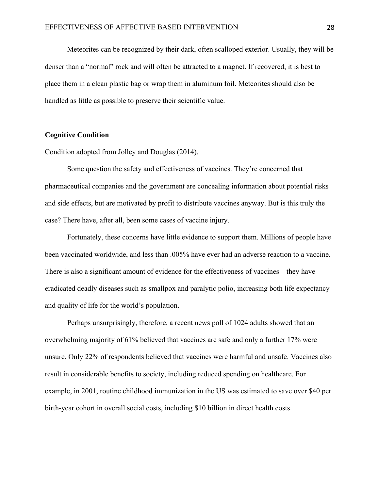Meteorites can be recognized by their dark, often scalloped exterior. Usually, they will be denser than a "normal" rock and will often be attracted to a magnet. If recovered, it is best to place them in a clean plastic bag or wrap them in aluminum foil. Meteorites should also be handled as little as possible to preserve their scientific value.

#### **Cognitive Condition**

Condition adopted from Jolley and Douglas (2014).

Some question the safety and effectiveness of vaccines. They're concerned that pharmaceutical companies and the government are concealing information about potential risks and side effects, but are motivated by profit to distribute vaccines anyway. But is this truly the case? There have, after all, been some cases of vaccine injury.

Fortunately, these concerns have little evidence to support them. Millions of people have been vaccinated worldwide, and less than .005% have ever had an adverse reaction to a vaccine. There is also a significant amount of evidence for the effectiveness of vaccines – they have eradicated deadly diseases such as smallpox and paralytic polio, increasing both life expectancy and quality of life for the world's population.

Perhaps unsurprisingly, therefore, a recent news poll of 1024 adults showed that an overwhelming majority of 61% believed that vaccines are safe and only a further 17% were unsure. Only 22% of respondents believed that vaccines were harmful and unsafe. Vaccines also result in considerable benefits to society, including reduced spending on healthcare. For example, in 2001, routine childhood immunization in the US was estimated to save over \$40 per birth-year cohort in overall social costs, including \$10 billion in direct health costs.